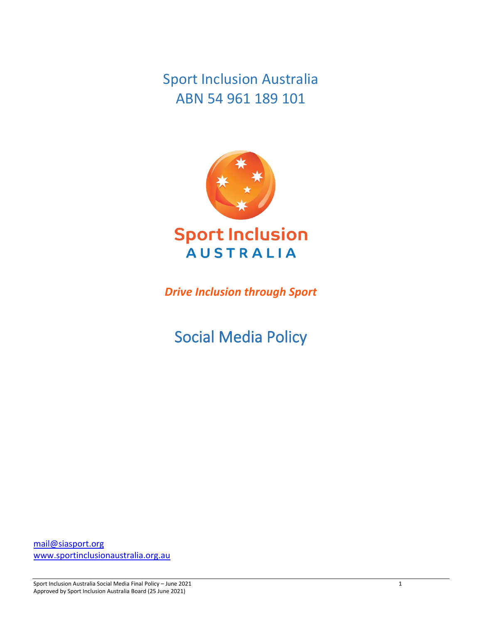Sport Inclusion Australia ABN 54 961 189 101



*Drive Inclusion through Sport*

Social Media Policy

[mail@siasport.org](mailto:mail@siasport.org) [www.sportinclusionaustralia.org.au](http://www.sportinclusionaustralia.org.au/)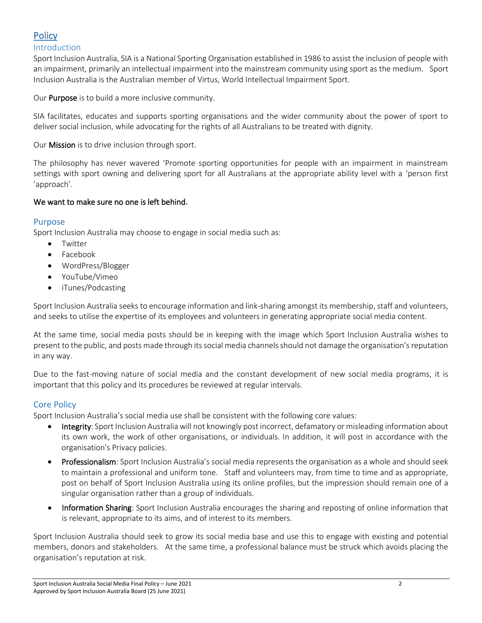# **Policy**

# Introduction

Sport Inclusion Australia, SIA is a National Sporting Organisation established in 1986 to assist the inclusion of people with an impairment, primarily an intellectual impairment into the mainstream community using sport as the medium. Sport Inclusion Australia is the Australian member of Virtus, World Intellectual Impairment Sport.

Our Purpose is to build a more inclusive community.

SIA facilitates, educates and supports sporting organisations and the wider community about the power of sport to deliver social inclusion, while advocating for the rights of all Australians to be treated with dignity.

Our Mission is to drive inclusion through sport.

The philosophy has never wavered 'Promote sporting opportunities for people with an impairment in mainstream settings with sport owning and delivering sport for all Australians at the appropriate ability level with a 'person first 'approach'.

### We want to make sure no one is left behind.

### Purpose

Sport Inclusion Australia may choose to engage in social media such as:

- Twitter
- Facebook
- WordPress/Blogger
- YouTube/Vimeo
- iTunes/Podcasting

Sport Inclusion Australia seeks to encourage information and link-sharing amongst its membership, staff and volunteers, and seeks to utilise the expertise of its employees and volunteers in generating appropriate social media content.

At the same time, social media posts should be in keeping with the image which Sport Inclusion Australia wishes to present to the public, and posts made through its social media channels should not damage the organisation's reputation in any way.

Due to the fast-moving nature of social media and the constant development of new social media programs, it is important that this policy and its procedures be reviewed at regular intervals.

## Core Policy

Sport Inclusion Australia's social media use shall be consistent with the following core values:

- Integrity: Sport Inclusion Australia will not knowingly post incorrect, defamatory or misleading information about its own work, the work of other organisations, or individuals. In addition, it will post in accordance with the organisation's Privacy policies.
- Professionalism: Sport Inclusion Australia's social media represents the organisation as a whole and should seek to maintain a professional and uniform tone. Staff and volunteers may, from time to time and as appropriate, post on behalf of Sport Inclusion Australia using its online profiles, but the impression should remain one of a singular organisation rather than a group of individuals.
- Information Sharing: Sport Inclusion Australia encourages the sharing and reposting of online information that is relevant, appropriate to its aims, and of interest to its members.

Sport Inclusion Australia should seek to grow its social media base and use this to engage with existing and potential members, donors and stakeholders. At the same time, a professional balance must be struck which avoids placing the organisation's reputation at risk.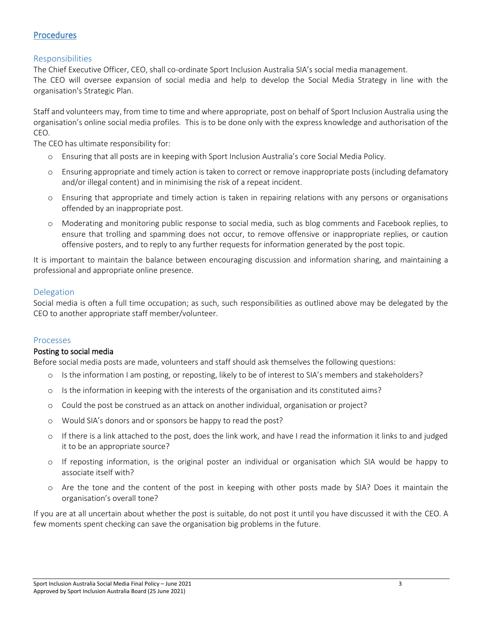# **Procedures**

## Responsibilities

The Chief Executive Officer, CEO, shall co-ordinate Sport Inclusion Australia SIA's social media management. The CEO will oversee expansion of social media and help to develop the Social Media Strategy in line with the organisation's Strategic Plan.

Staff and volunteers may, from time to time and where appropriate, post on behalf of Sport Inclusion Australia using the organisation's online social media profiles. This is to be done only with the express knowledge and authorisation of the CEO.

The CEO has ultimate responsibility for:

- o Ensuring that all posts are in keeping with Sport Inclusion Australia's core Social Media Policy.
- o Ensuring appropriate and timely action is taken to correct or remove inappropriate posts (including defamatory and/or illegal content) and in minimising the risk of a repeat incident.
- o Ensuring that appropriate and timely action is taken in repairing relations with any persons or organisations offended by an inappropriate post.
- o Moderating and monitoring public response to social media, such as blog comments and Facebook replies, to ensure that trolling and spamming does not occur, to remove offensive or inappropriate replies, or caution offensive posters, and to reply to any further requests for information generated by the post topic.

It is important to maintain the balance between encouraging discussion and information sharing, and maintaining a professional and appropriate online presence.

### Delegation

Social media is often a full time occupation; as such, such responsibilities as outlined above may be delegated by the CEO to another appropriate staff member/volunteer.

#### Processes

#### Posting to social media

Before social media posts are made, volunteers and staff should ask themselves the following questions:

- o Is the information I am posting, or reposting, likely to be of interest to SIA's members and stakeholders?
- o Is the information in keeping with the interests of the organisation and its constituted aims?
- o Could the post be construed as an attack on another individual, organisation or project?
- o Would SIA's donors and or sponsors be happy to read the post?
- o If there is a link attached to the post, does the link work, and have I read the information it links to and judged it to be an appropriate source?
- o If reposting information, is the original poster an individual or organisation which SIA would be happy to associate itself with?
- o Are the tone and the content of the post in keeping with other posts made by SIA? Does it maintain the organisation's overall tone?

If you are at all uncertain about whether the post is suitable, do not post it until you have discussed it with the CEO. A few moments spent checking can save the organisation big problems in the future.